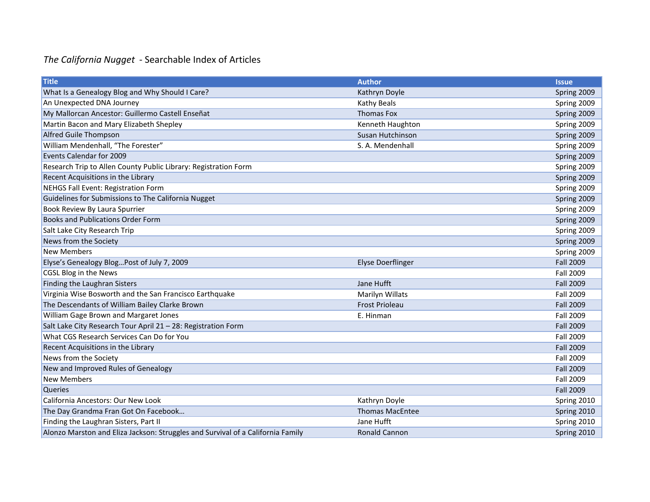## *The California Nugget* - Searchable Index of Articles

| <b>Title</b>                                                                    | <b>Author</b>            | <b>Issue</b>     |
|---------------------------------------------------------------------------------|--------------------------|------------------|
| What Is a Genealogy Blog and Why Should I Care?                                 | Kathryn Doyle            | Spring 2009      |
| An Unexpected DNA Journey                                                       | <b>Kathy Beals</b>       | Spring 2009      |
| My Mallorcan Ancestor: Guillermo Castell Enseñat                                | <b>Thomas Fox</b>        | Spring 2009      |
| Martin Bacon and Mary Elizabeth Shepley                                         | Kenneth Haughton         | Spring 2009      |
| <b>Alfred Guile Thompson</b>                                                    | Susan Hutchinson         | Spring 2009      |
| William Mendenhall, "The Forester"                                              | S. A. Mendenhall         | Spring 2009      |
| Events Calendar for 2009                                                        |                          | Spring 2009      |
| Research Trip to Allen County Public Library: Registration Form                 |                          | Spring 2009      |
| Recent Acquisitions in the Library                                              |                          | Spring 2009      |
| <b>NEHGS Fall Event: Registration Form</b>                                      |                          | Spring 2009      |
| Guidelines for Submissions to The California Nugget                             |                          | Spring 2009      |
| Book Review By Laura Spurrier                                                   |                          | Spring 2009      |
| <b>Books and Publications Order Form</b>                                        |                          | Spring 2009      |
| Salt Lake City Research Trip                                                    |                          | Spring 2009      |
| News from the Society                                                           |                          | Spring 2009      |
| <b>New Members</b>                                                              |                          | Spring 2009      |
| Elyse's Genealogy Blog Post of July 7, 2009                                     | <b>Elyse Doerflinger</b> | <b>Fall 2009</b> |
| <b>CGSL Blog in the News</b>                                                    |                          | Fall 2009        |
| Finding the Laughran Sisters                                                    | Jane Hufft               | <b>Fall 2009</b> |
| Virginia Wise Bosworth and the San Francisco Earthquake                         | <b>Marilyn Willats</b>   | Fall 2009        |
| The Descendants of William Bailey Clarke Brown                                  | <b>Frost Prioleau</b>    | Fall 2009        |
| William Gage Brown and Margaret Jones                                           | E. Hinman                | Fall 2009        |
| Salt Lake City Research Tour April 21 - 28: Registration Form                   |                          | <b>Fall 2009</b> |
| What CGS Research Services Can Do for You                                       |                          | Fall 2009        |
| Recent Acquisitions in the Library                                              |                          | <b>Fall 2009</b> |
| News from the Society                                                           |                          | Fall 2009        |
| New and Improved Rules of Genealogy                                             |                          | <b>Fall 2009</b> |
| <b>New Members</b>                                                              |                          | Fall 2009        |
| <b>Queries</b>                                                                  |                          | <b>Fall 2009</b> |
| California Ancestors: Our New Look                                              | Kathryn Doyle            | Spring 2010      |
| The Day Grandma Fran Got On Facebook                                            | <b>Thomas MacEntee</b>   | Spring 2010      |
| Finding the Laughran Sisters, Part II                                           | Jane Hufft               | Spring 2010      |
| Alonzo Marston and Eliza Jackson: Struggles and Survival of a California Family | <b>Ronald Cannon</b>     | Spring 2010      |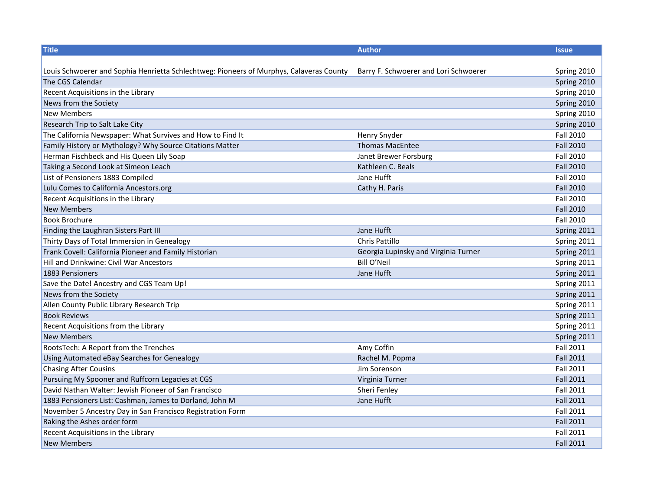| <b>Title</b>                                                                            | <b>Author</b>                         | <b>Issue</b>     |
|-----------------------------------------------------------------------------------------|---------------------------------------|------------------|
|                                                                                         |                                       |                  |
| Louis Schwoerer and Sophia Henrietta Schlechtweg: Pioneers of Murphys, Calaveras County | Barry F. Schwoerer and Lori Schwoerer | Spring 2010      |
| The CGS Calendar                                                                        |                                       | Spring 2010      |
| Recent Acquisitions in the Library                                                      |                                       | Spring 2010      |
| News from the Society                                                                   |                                       | Spring 2010      |
| <b>New Members</b>                                                                      |                                       | Spring 2010      |
| Research Trip to Salt Lake City                                                         |                                       | Spring 2010      |
| The California Newspaper: What Survives and How to Find It                              | Henry Snyder                          | Fall 2010        |
| Family History or Mythology? Why Source Citations Matter                                | <b>Thomas MacEntee</b>                | <b>Fall 2010</b> |
| Herman Fischbeck and His Queen Lily Soap                                                | Janet Brewer Forsburg                 | <b>Fall 2010</b> |
| Taking a Second Look at Simeon Leach                                                    | Kathleen C. Beals                     | <b>Fall 2010</b> |
| List of Pensioners 1883 Compiled                                                        | Jane Hufft                            | <b>Fall 2010</b> |
| Lulu Comes to California Ancestors.org                                                  | Cathy H. Paris                        | <b>Fall 2010</b> |
| Recent Acquisitions in the Library                                                      |                                       | <b>Fall 2010</b> |
| <b>New Members</b>                                                                      |                                       | <b>Fall 2010</b> |
| <b>Book Brochure</b>                                                                    |                                       | <b>Fall 2010</b> |
| Finding the Laughran Sisters Part III                                                   | Jane Hufft                            | Spring 2011      |
| Thirty Days of Total Immersion in Genealogy                                             | <b>Chris Pattillo</b>                 | Spring 2011      |
| Frank Covell: California Pioneer and Family Historian                                   | Georgia Lupinsky and Virginia Turner  | Spring 2011      |
| Hill and Drinkwine: Civil War Ancestors                                                 | <b>Bill O'Neil</b>                    | Spring 2011      |
| 1883 Pensioners                                                                         | Jane Hufft                            | Spring 2011      |
| Save the Date! Ancestry and CGS Team Up!                                                |                                       | Spring 2011      |
| News from the Society                                                                   |                                       | Spring 2011      |
| Allen County Public Library Research Trip                                               |                                       | Spring 2011      |
| <b>Book Reviews</b>                                                                     |                                       | Spring 2011      |
| Recent Acquisitions from the Library                                                    |                                       | Spring 2011      |
| <b>New Members</b>                                                                      |                                       | Spring 2011      |
| RootsTech: A Report from the Trenches                                                   | Amy Coffin                            | Fall 2011        |
| Using Automated eBay Searches for Genealogy                                             | Rachel M. Popma                       | <b>Fall 2011</b> |
| <b>Chasing After Cousins</b>                                                            | Jim Sorenson                          | <b>Fall 2011</b> |
| Pursuing My Spooner and Ruffcorn Legacies at CGS                                        | Virginia Turner                       | <b>Fall 2011</b> |
| David Nathan Walter: Jewish Pioneer of San Francisco                                    | Sheri Fenley                          | <b>Fall 2011</b> |
| 1883 Pensioners List: Cashman, James to Dorland, John M                                 | Jane Hufft                            | <b>Fall 2011</b> |
| November 5 Ancestry Day in San Francisco Registration Form                              |                                       | <b>Fall 2011</b> |
| Raking the Ashes order form                                                             |                                       | <b>Fall 2011</b> |
| Recent Acquisitions in the Library                                                      |                                       | <b>Fall 2011</b> |
| <b>New Members</b>                                                                      |                                       | <b>Fall 2011</b> |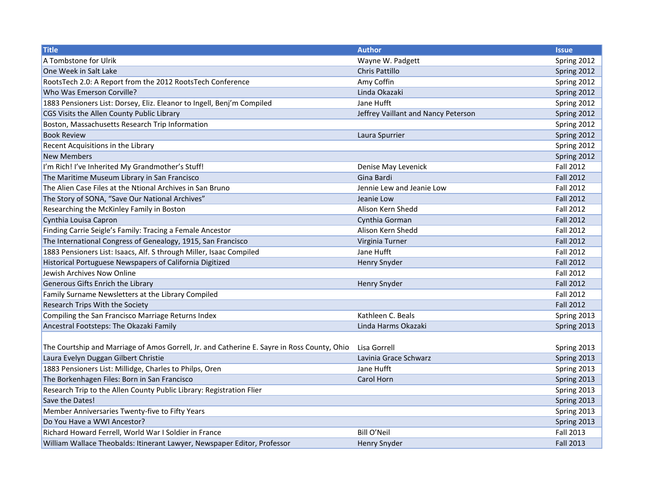| <b>Title</b>                                                                                | <b>Author</b>                       | <b>Issue</b>     |
|---------------------------------------------------------------------------------------------|-------------------------------------|------------------|
| A Tombstone for Ulrik                                                                       | Wayne W. Padgett                    | Spring 2012      |
| One Week in Salt Lake                                                                       | Chris Pattillo                      | Spring 2012      |
| RootsTech 2.0: A Report from the 2012 RootsTech Conference                                  | Amy Coffin                          | Spring 2012      |
| Who Was Emerson Corville?                                                                   | Linda Okazaki                       | Spring 2012      |
| 1883 Pensioners List: Dorsey, Eliz. Eleanor to Ingell, Benj'm Compiled                      | Jane Hufft                          | Spring 2012      |
| CGS Visits the Allen County Public Library                                                  | Jeffrey Vaillant and Nancy Peterson | Spring 2012      |
| Boston, Massachusetts Research Trip Information                                             |                                     | Spring 2012      |
| <b>Book Review</b>                                                                          | Laura Spurrier                      | Spring 2012      |
| Recent Acquisitions in the Library                                                          |                                     | Spring 2012      |
| <b>New Members</b>                                                                          |                                     | Spring 2012      |
| I'm Rich! I've Inherited My Grandmother's Stuff!                                            | Denise May Levenick                 | <b>Fall 2012</b> |
| The Maritime Museum Library in San Francisco                                                | Gina Bardi                          | <b>Fall 2012</b> |
| The Alien Case Files at the Ntional Archives in San Bruno                                   | Jennie Lew and Jeanie Low           | <b>Fall 2012</b> |
| The Story of SONA, "Save Our National Archives"                                             | Jeanie Low                          | <b>Fall 2012</b> |
| Researching the McKinley Family in Boston                                                   | Alison Kern Shedd                   | <b>Fall 2012</b> |
| Cynthia Louisa Capron                                                                       | Cynthia Gorman                      | <b>Fall 2012</b> |
| Finding Carrie Seigle's Family: Tracing a Female Ancestor                                   | Alison Kern Shedd                   | <b>Fall 2012</b> |
| The International Congress of Genealogy, 1915, San Francisco                                | Virginia Turner                     | <b>Fall 2012</b> |
| 1883 Pensioners List: Isaacs, Alf. S through Miller, Isaac Compiled                         | Jane Hufft                          | <b>Fall 2012</b> |
| Historical Portuguese Newspapers of California Digitized                                    | <b>Henry Snyder</b>                 | <b>Fall 2012</b> |
| Jewish Archives Now Online                                                                  |                                     | Fall 2012        |
| Generous Gifts Enrich the Library                                                           | <b>Henry Snyder</b>                 | <b>Fall 2012</b> |
| Family Surname Newsletters at the Library Compiled                                          |                                     | <b>Fall 2012</b> |
| Research Trips With the Society                                                             |                                     | <b>Fall 2012</b> |
| Compiling the San Francisco Marriage Returns Index                                          | Kathleen C. Beals                   | Spring 2013      |
| Ancestral Footsteps: The Okazaki Family                                                     | Linda Harms Okazaki                 | Spring 2013      |
|                                                                                             |                                     |                  |
| The Courtship and Marriage of Amos Gorrell, Jr. and Catherine E. Sayre in Ross County, Ohio | Lisa Gorrell                        | Spring 2013      |
| Laura Evelyn Duggan Gilbert Christie                                                        | Lavinia Grace Schwarz               | Spring 2013      |
| 1883 Pensioners List: Millidge, Charles to Philps, Oren                                     | Jane Hufft                          | Spring 2013      |
| The Borkenhagen Files: Born in San Francisco                                                | Carol Horn                          | Spring 2013      |
| Research Trip to the Allen County Public Library: Registration Flier                        |                                     | Spring 2013      |
| Save the Dates!                                                                             |                                     | Spring 2013      |
| Member Anniversaries Twenty-five to Fifty Years                                             |                                     | Spring 2013      |
| Do You Have a WWI Ancestor?                                                                 |                                     | Spring 2013      |
| Richard Howard Ferrell, World War I Soldier in France                                       | <b>Bill O'Neil</b>                  | <b>Fall 2013</b> |
| William Wallace Theobalds: Itinerant Lawyer, Newspaper Editor, Professor                    | Henry Snyder                        | <b>Fall 2013</b> |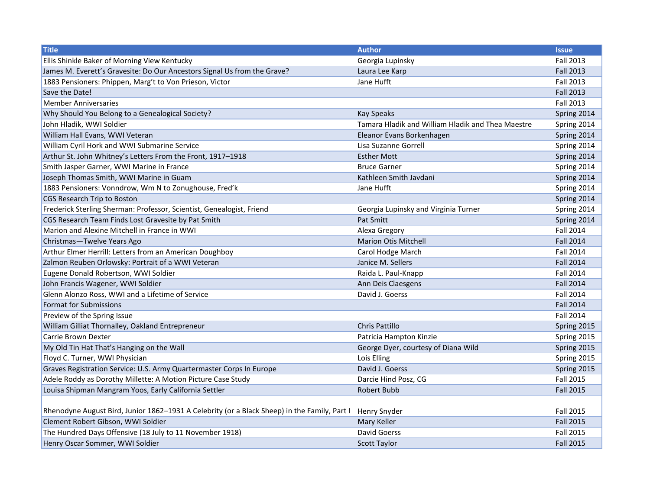| <b>Title</b>                                                                                 | <b>Author</b>                                     | <b>Issue</b>     |
|----------------------------------------------------------------------------------------------|---------------------------------------------------|------------------|
| Ellis Shinkle Baker of Morning View Kentucky                                                 | Georgia Lupinsky                                  | Fall 2013        |
| James M. Everett's Gravesite: Do Our Ancestors Signal Us from the Grave?                     | Laura Lee Karp                                    | <b>Fall 2013</b> |
| 1883 Pensioners: Phippen, Marg't to Von Prieson, Victor                                      | Jane Hufft                                        | <b>Fall 2013</b> |
| Save the Date!                                                                               |                                                   | <b>Fall 2013</b> |
| <b>Member Anniversaries</b>                                                                  |                                                   | <b>Fall 2013</b> |
| Why Should You Belong to a Genealogical Society?                                             | <b>Kay Speaks</b>                                 | Spring 2014      |
| John Hladik, WWI Soldier                                                                     | Tamara Hladik and William Hladik and Thea Maestre | Spring 2014      |
| William Hall Evans, WWI Veteran                                                              | Eleanor Evans Borkenhagen                         | Spring 2014      |
| William Cyril Hork and WWI Submarine Service                                                 | Lisa Suzanne Gorrell                              | Spring 2014      |
| Arthur St. John Whitney's Letters From the Front, 1917-1918                                  | <b>Esther Mott</b>                                | Spring 2014      |
| Smith Jasper Garner, WWI Marine in France                                                    | <b>Bruce Garner</b>                               | Spring 2014      |
| Joseph Thomas Smith, WWI Marine in Guam                                                      | Kathleen Smith Javdani                            | Spring 2014      |
| 1883 Pensioners: Vonndrow, Wm N to Zonughouse, Fred'k                                        | Jane Hufft                                        | Spring 2014      |
| <b>CGS Research Trip to Boston</b>                                                           |                                                   | Spring 2014      |
| Frederick Sterling Sherman: Professor, Scientist, Genealogist, Friend                        | Georgia Lupinsky and Virginia Turner              | Spring 2014      |
| CGS Research Team Finds Lost Gravesite by Pat Smith                                          | Pat Smitt                                         | Spring 2014      |
| Marion and Alexine Mitchell in France in WWI                                                 | Alexa Gregory                                     | <b>Fall 2014</b> |
| Christmas-Twelve Years Ago                                                                   | <b>Marion Otis Mitchell</b>                       | <b>Fall 2014</b> |
| Arthur Elmer Herrill: Letters from an American Doughboy                                      | Carol Hodge March                                 | <b>Fall 2014</b> |
| Zalmon Reuben Orlowsky: Portrait of a WWI Veteran                                            | Janice M. Sellers                                 | <b>Fall 2014</b> |
| Eugene Donald Robertson, WWI Soldier                                                         | Raida L. Paul-Knapp                               | Fall 2014        |
| John Francis Wagener, WWI Soldier                                                            | Ann Deis Claesgens                                | <b>Fall 2014</b> |
| Glenn Alonzo Ross, WWI and a Lifetime of Service                                             | David J. Goerss                                   | <b>Fall 2014</b> |
| <b>Format for Submissions</b>                                                                |                                                   | <b>Fall 2014</b> |
| Preview of the Spring Issue                                                                  |                                                   | <b>Fall 2014</b> |
| William Gilliat Thornalley, Oakland Entrepreneur                                             | <b>Chris Pattillo</b>                             | Spring 2015      |
| <b>Carrie Brown Dexter</b>                                                                   | Patricia Hampton Kinzie                           | Spring 2015      |
| My Old Tin Hat That's Hanging on the Wall                                                    | George Dyer, courtesy of Diana Wild               | Spring 2015      |
| Floyd C. Turner, WWI Physician                                                               | Lois Elling                                       | Spring 2015      |
| Graves Registration Service: U.S. Army Quartermaster Corps In Europe                         | David J. Goerss                                   | Spring 2015      |
| Adele Roddy as Dorothy Millette: A Motion Picture Case Study                                 | Darcie Hind Posz, CG                              | <b>Fall 2015</b> |
| Louisa Shipman Mangram Yoos, Early California Settler                                        | Robert Bubb                                       | <b>Fall 2015</b> |
|                                                                                              |                                                   |                  |
| Rhenodyne August Bird, Junior 1862-1931 A Celebrity (or a Black Sheep) in the Family, Part I | Henry Snyder                                      | <b>Fall 2015</b> |
| Clement Robert Gibson, WWI Soldier                                                           | Mary Keller                                       | <b>Fall 2015</b> |
| The Hundred Days Offensive (18 July to 11 November 1918)                                     | <b>David Goerss</b>                               | Fall 2015        |
| Henry Oscar Sommer, WWI Soldier                                                              | <b>Scott Taylor</b>                               | <b>Fall 2015</b> |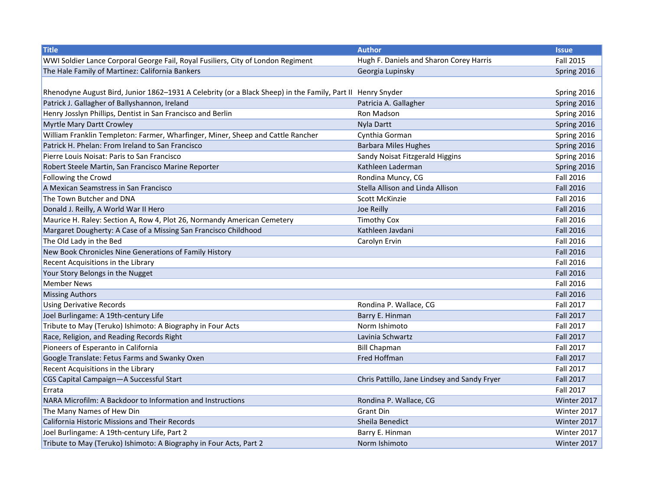| <b>Title</b>                                                                                               | <b>Author</b>                                | <b>Issue</b>     |
|------------------------------------------------------------------------------------------------------------|----------------------------------------------|------------------|
| WWI Soldier Lance Corporal George Fail, Royal Fusiliers, City of London Regiment                           | Hugh F. Daniels and Sharon Corey Harris      | <b>Fall 2015</b> |
| The Hale Family of Martinez: California Bankers                                                            | Georgia Lupinsky                             | Spring 2016      |
|                                                                                                            |                                              |                  |
| Rhenodyne August Bird, Junior 1862-1931 A Celebrity (or a Black Sheep) in the Family, Part II Henry Snyder |                                              | Spring 2016      |
| Patrick J. Gallagher of Ballyshannon, Ireland                                                              | Patricia A. Gallagher                        | Spring 2016      |
| Henry Josslyn Phillips, Dentist in San Francisco and Berlin                                                | Ron Madson                                   | Spring 2016      |
| Myrtle Mary Dartt Crowley                                                                                  | Nyla Dartt                                   | Spring 2016      |
| William Franklin Templeton: Farmer, Wharfinger, Miner, Sheep and Cattle Rancher                            | Cynthia Gorman                               | Spring 2016      |
| Patrick H. Phelan: From Ireland to San Francisco                                                           | <b>Barbara Miles Hughes</b>                  | Spring 2016      |
| Pierre Louis Noisat: Paris to San Francisco                                                                | Sandy Noisat Fitzgerald Higgins              | Spring 2016      |
| Robert Steele Martin, San Francisco Marine Reporter                                                        | Kathleen Laderman                            | Spring 2016      |
| Following the Crowd                                                                                        | Rondina Muncy, CG                            | <b>Fall 2016</b> |
| A Mexican Seamstress in San Francisco                                                                      | Stella Allison and Linda Allison             | <b>Fall 2016</b> |
| The Town Butcher and DNA                                                                                   | Scott McKinzie                               | <b>Fall 2016</b> |
| Donald J. Reilly, A World War II Hero                                                                      | Joe Reilly                                   | <b>Fall 2016</b> |
| Maurice H. Raley: Section A, Row 4, Plot 26, Normandy American Cemetery                                    | <b>Timothy Cox</b>                           | <b>Fall 2016</b> |
| Margaret Dougherty: A Case of a Missing San Francisco Childhood                                            | Kathleen Javdani                             | <b>Fall 2016</b> |
| The Old Lady in the Bed                                                                                    | Carolyn Ervin                                | <b>Fall 2016</b> |
| New Book Chronicles Nine Generations of Family History                                                     |                                              | <b>Fall 2016</b> |
| Recent Acquisitions in the Library                                                                         |                                              | <b>Fall 2016</b> |
| Your Story Belongs in the Nugget                                                                           |                                              | <b>Fall 2016</b> |
| <b>Member News</b>                                                                                         |                                              | <b>Fall 2016</b> |
| <b>Missing Authors</b>                                                                                     |                                              | <b>Fall 2016</b> |
| <b>Using Derivative Records</b>                                                                            | Rondina P. Wallace, CG                       | <b>Fall 2017</b> |
| Joel Burlingame: A 19th-century Life                                                                       | Barry E. Hinman                              | <b>Fall 2017</b> |
| Tribute to May (Teruko) Ishimoto: A Biography in Four Acts                                                 | Norm Ishimoto                                | <b>Fall 2017</b> |
| Race, Religion, and Reading Records Right                                                                  | Lavinia Schwartz                             | <b>Fall 2017</b> |
| Pioneers of Esperanto in California                                                                        | <b>Bill Chapman</b>                          | <b>Fall 2017</b> |
| Google Translate: Fetus Farms and Swanky Oxen                                                              | Fred Hoffman                                 | <b>Fall 2017</b> |
| Recent Acquisitions in the Library                                                                         |                                              | <b>Fall 2017</b> |
| CGS Capital Campaign-A Successful Start                                                                    | Chris Pattillo, Jane Lindsey and Sandy Fryer | <b>Fall 2017</b> |
| Errata                                                                                                     |                                              | <b>Fall 2017</b> |
| NARA Microfilm: A Backdoor to Information and Instructions                                                 | Rondina P. Wallace, CG                       | Winter 2017      |
| The Many Names of Hew Din                                                                                  | <b>Grant Din</b>                             | Winter 2017      |
| California Historic Missions and Their Records                                                             | Sheila Benedict                              | Winter 2017      |
| Joel Burlingame: A 19th-century Life, Part 2                                                               | Barry E. Hinman                              | Winter 2017      |
| Tribute to May (Teruko) Ishimoto: A Biography in Four Acts, Part 2                                         | Norm Ishimoto                                | Winter 2017      |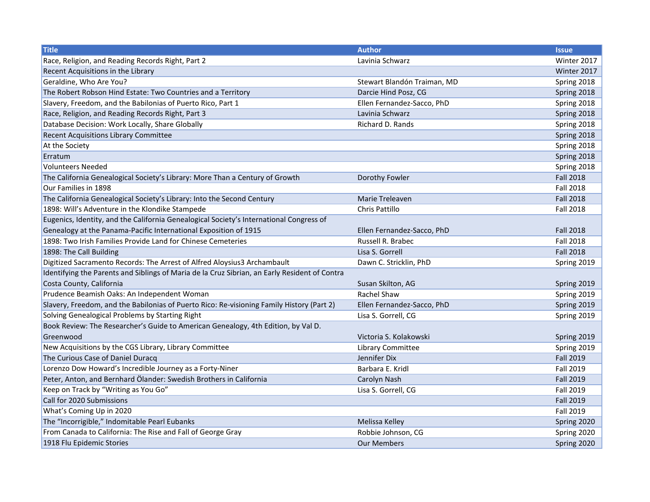| <b>Title</b>                                                                                  | <b>Author</b>               | <i><b>Issue</b></i> |
|-----------------------------------------------------------------------------------------------|-----------------------------|---------------------|
| Race, Religion, and Reading Records Right, Part 2                                             | Lavinia Schwarz             | Winter 2017         |
| Recent Acquisitions in the Library                                                            |                             | Winter 2017         |
| Geraldine, Who Are You?                                                                       | Stewart Blandón Traiman, MD | Spring 2018         |
| The Robert Robson Hind Estate: Two Countries and a Territory                                  | Darcie Hind Posz, CG        | Spring 2018         |
| Slavery, Freedom, and the Babilonias of Puerto Rico, Part 1                                   | Ellen Fernandez-Sacco, PhD  | Spring 2018         |
| Race, Religion, and Reading Records Right, Part 3                                             | Lavinia Schwarz             | Spring 2018         |
| Database Decision: Work Locally, Share Globally                                               | Richard D. Rands            | Spring 2018         |
| <b>Recent Acquisitions Library Committee</b>                                                  |                             | Spring 2018         |
| At the Society                                                                                |                             | Spring 2018         |
| Erratum                                                                                       |                             | Spring 2018         |
| <b>Volunteers Needed</b>                                                                      |                             | Spring 2018         |
| The California Genealogical Society's Library: More Than a Century of Growth                  | Dorothy Fowler              | <b>Fall 2018</b>    |
| Our Families in 1898                                                                          |                             | <b>Fall 2018</b>    |
| The California Genealogical Society's Library: Into the Second Century                        | Marie Treleaven             | <b>Fall 2018</b>    |
| 1898: Will's Adventure in the Klondike Stampede                                               | Chris Pattillo              | <b>Fall 2018</b>    |
| Eugenics, Identity, and the California Genealogical Society's International Congress of       |                             |                     |
| Genealogy at the Panama-Pacific International Exposition of 1915                              | Ellen Fernandez-Sacco, PhD  | <b>Fall 2018</b>    |
| 1898: Two Irish Families Provide Land for Chinese Cemeteries                                  | Russell R. Brabec           | <b>Fall 2018</b>    |
| 1898: The Call Building                                                                       | Lisa S. Gorrell             | <b>Fall 2018</b>    |
| Digitized Sacramento Records: The Arrest of Alfred Aloysius3 Archambault                      | Dawn C. Stricklin, PhD      | Spring 2019         |
| Identifying the Parents and Siblings of Maria de la Cruz Sibrian, an Early Resident of Contra |                             |                     |
| Costa County, California                                                                      | Susan Skilton, AG           | Spring 2019         |
| Prudence Beamish Oaks: An Independent Woman                                                   | Rachel Shaw                 | Spring 2019         |
| Slavery, Freedom, and the Babilonias of Puerto Rico: Re-visioning Family History (Part 2)     | Ellen Fernandez-Sacco, PhD  | Spring 2019         |
| Solving Genealogical Problems by Starting Right                                               | Lisa S. Gorrell, CG         | Spring 2019         |
| Book Review: The Researcher's Guide to American Genealogy, 4th Edition, by Val D.             |                             |                     |
| Greenwood                                                                                     | Victoria S. Kolakowski      | Spring 2019         |
| New Acquisitions by the CGS Library, Library Committee                                        | <b>Library Committee</b>    | Spring 2019         |
| The Curious Case of Daniel Duracq                                                             | Jennifer Dix                | <b>Fall 2019</b>    |
| Lorenzo Dow Howard's Incredible Journey as a Forty-Niner                                      | Barbara E. Kridl            | <b>Fall 2019</b>    |
| Peter, Anton, and Bernhard Ölander: Swedish Brothers in California                            | Carolyn Nash                | <b>Fall 2019</b>    |
| Keep on Track by "Writing as You Go"                                                          | Lisa S. Gorrell, CG         | <b>Fall 2019</b>    |
| Call for 2020 Submissions                                                                     |                             | <b>Fall 2019</b>    |
| What's Coming Up in 2020                                                                      |                             | <b>Fall 2019</b>    |
| The "Incorrigible," Indomitable Pearl Eubanks                                                 | Melissa Kelley              | Spring 2020         |
| From Canada to California: The Rise and Fall of George Gray                                   | Robbie Johnson, CG          | Spring 2020         |
| 1918 Flu Epidemic Stories                                                                     | <b>Our Members</b>          | Spring 2020         |